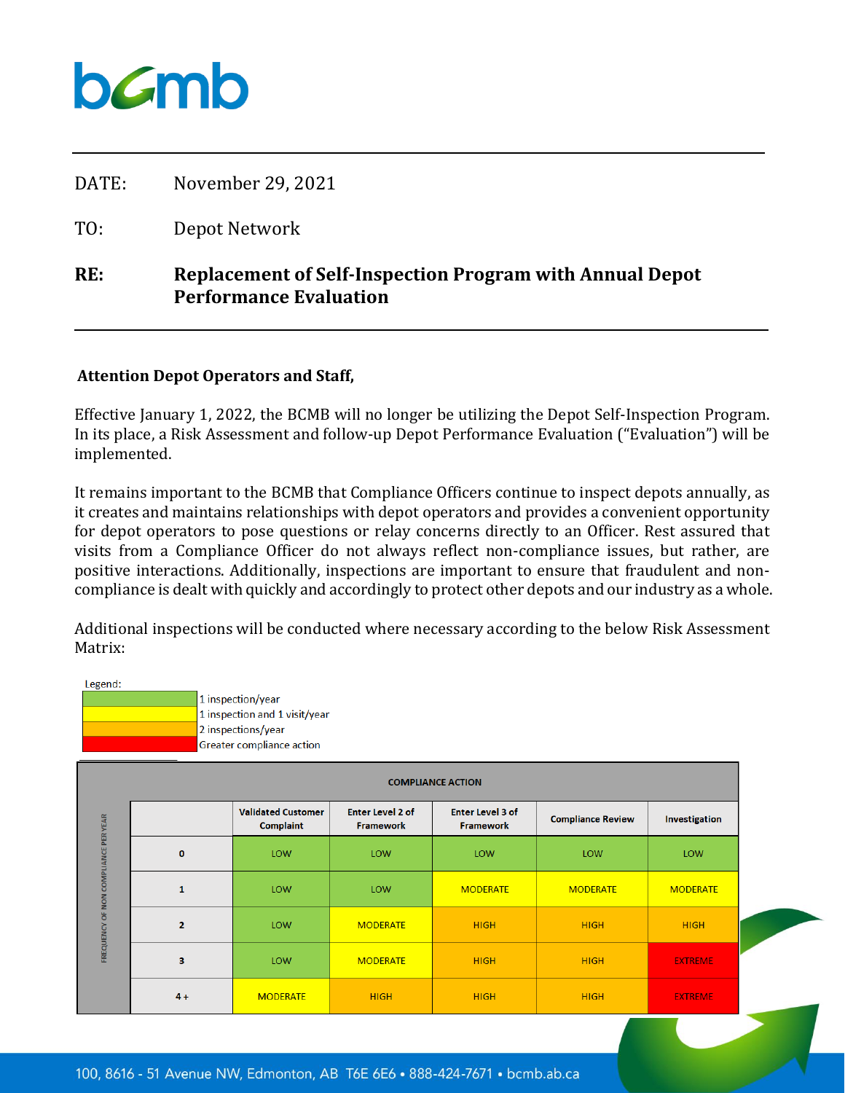## bamb

| RE:   | <b>Replacement of Self-Inspection Program with Annual Depot</b><br><b>Performance Evaluation</b> |
|-------|--------------------------------------------------------------------------------------------------|
| TO:   | Depot Network                                                                                    |
| DATE: | November 29, 2021                                                                                |

## **Attention Depot Operators and Staff,**

Effective January 1, 2022, the BCMB will no longer be utilizing the Depot Self-Inspection Program. In its place, a Risk Assessment and follow-up Depot Performance Evaluation ("Evaluation") will be implemented.

It remains important to the BCMB that Compliance Officers continue to inspect depots annually, as it creates and maintains relationships with depot operators and provides a convenient opportunity for depot operators to pose questions or relay concerns directly to an Officer. Rest assured that visits from a Compliance Officer do not always reflect non-compliance issues, but rather, are positive interactions. Additionally, inspections are important to ensure that fraudulent and noncompliance is dealt with quickly and accordingly to protect other depots and our industry as a whole.

Additional inspections will be conducted where necessary according to the below Risk Assessment Matrix:

| Legend:                              |                          | 1 inspection/year<br>1 inspection and 1 visit/year<br>2 inspections/year<br>Greater compliance action |                                             |                                             |                          |                 |  |
|--------------------------------------|--------------------------|-------------------------------------------------------------------------------------------------------|---------------------------------------------|---------------------------------------------|--------------------------|-----------------|--|
|                                      | <b>COMPLIANCE ACTION</b> |                                                                                                       |                                             |                                             |                          |                 |  |
| FREQUENCY OF NON COMPLIANCE PER YEAR |                          | <b>Validated Customer</b><br><b>Complaint</b>                                                         | <b>Enter Level 2 of</b><br><b>Framework</b> | <b>Enter Level 3 of</b><br><b>Framework</b> | <b>Compliance Review</b> | Investigation   |  |
|                                      | $\bf{0}$                 | LOW                                                                                                   | LOW                                         | LOW                                         | LOW                      | LOW             |  |
|                                      | $\mathbf{1}$             | LOW                                                                                                   | LOW                                         | <b>MODERATE</b>                             | <b>MODERATE</b>          | <b>MODERATE</b> |  |
|                                      | $\mathbf{2}$             | LOW                                                                                                   | <b>MODERATE</b>                             | <b>HIGH</b>                                 | <b>HIGH</b>              | <b>HIGH</b>     |  |
|                                      | 3                        | LOW                                                                                                   | <b>MODERATE</b>                             | <b>HIGH</b>                                 | <b>HIGH</b>              | <b>EXTREME</b>  |  |
|                                      | $4+$                     | <b>MODERATE</b>                                                                                       | <b>HIGH</b>                                 | <b>HIGH</b>                                 | <b>HIGH</b>              | <b>EXTREME</b>  |  |